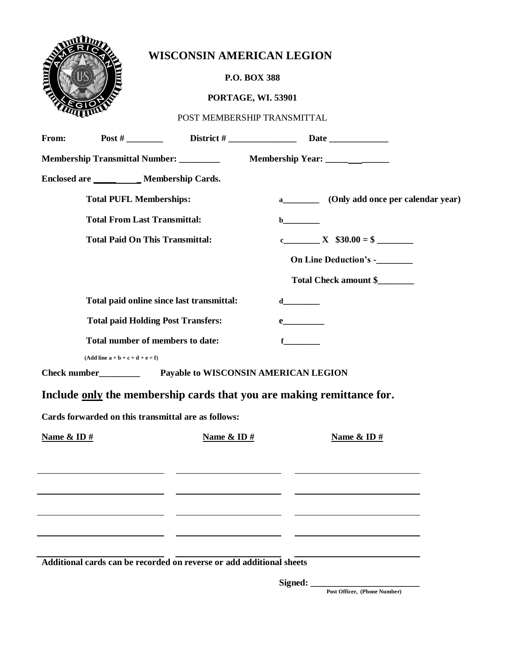

## **WISCONSIN AMERICAN LEGION**

## **P.O. BOX 388**

## **PORTAGE, WI. 53901**

POST MEMBERSHIP TRANSMITTAL

| From:                                                                 |                                           |                                                                                                                       |                                                   |  |  |
|-----------------------------------------------------------------------|-------------------------------------------|-----------------------------------------------------------------------------------------------------------------------|---------------------------------------------------|--|--|
| <b>Membership Transmittal Number:</b> _________                       |                                           |                                                                                                                       |                                                   |  |  |
| Enclosed are __________ Membership Cards.                             |                                           |                                                                                                                       |                                                   |  |  |
|                                                                       | <b>Total PUFL Memberships:</b>            |                                                                                                                       | (Only add once per calendar year)<br>$\mathbf{a}$ |  |  |
|                                                                       | <b>Total From Last Transmittal:</b>       |                                                                                                                       |                                                   |  |  |
|                                                                       | <b>Total Paid On This Transmittal:</b>    |                                                                                                                       | c X $$30.00 = $$                                  |  |  |
|                                                                       |                                           |                                                                                                                       | On Line Deduction's -______                       |  |  |
|                                                                       |                                           |                                                                                                                       | Total Check amount \$                             |  |  |
|                                                                       | Total paid online since last transmittal: |                                                                                                                       |                                                   |  |  |
| <b>Total paid Holding Post Transfers:</b>                             |                                           |                                                                                                                       |                                                   |  |  |
| Total number of members to date:                                      |                                           |                                                                                                                       | $f$ and $f$                                       |  |  |
|                                                                       | $(Add line a + b + c + d + e = f)$        |                                                                                                                       |                                                   |  |  |
| Payable to WISCONSIN AMERICAN LEGION<br>Check number                  |                                           |                                                                                                                       |                                                   |  |  |
| Include only the membership cards that you are making remittance for. |                                           |                                                                                                                       |                                                   |  |  |
| Cards forwarded on this transmittal are as follows:                   |                                           |                                                                                                                       |                                                   |  |  |
| Name & ID $#$                                                         |                                           | Name & ID $#$                                                                                                         | Name & ID $#$                                     |  |  |
|                                                                       |                                           |                                                                                                                       |                                                   |  |  |
|                                                                       |                                           | <u> 1989 - Johann Barnett, fransk kongresu og den som forskellige og den som forskellige og den som forskellige o</u> |                                                   |  |  |
|                                                                       |                                           | <u> Alexandria de la contrada de la contrada de la contrada de la contrada de la contrada de la contrada de la c</u>  |                                                   |  |  |
|                                                                       |                                           |                                                                                                                       |                                                   |  |  |
|                                                                       |                                           |                                                                                                                       |                                                   |  |  |
| Additional cards can be recorded on reverse or add additional sheets  |                                           |                                                                                                                       |                                                   |  |  |

**Signed: \_\_\_\_\_\_\_\_\_\_\_\_\_\_\_\_\_\_\_\_\_\_\_\_** 

**Post Officer, (Phone Number)**